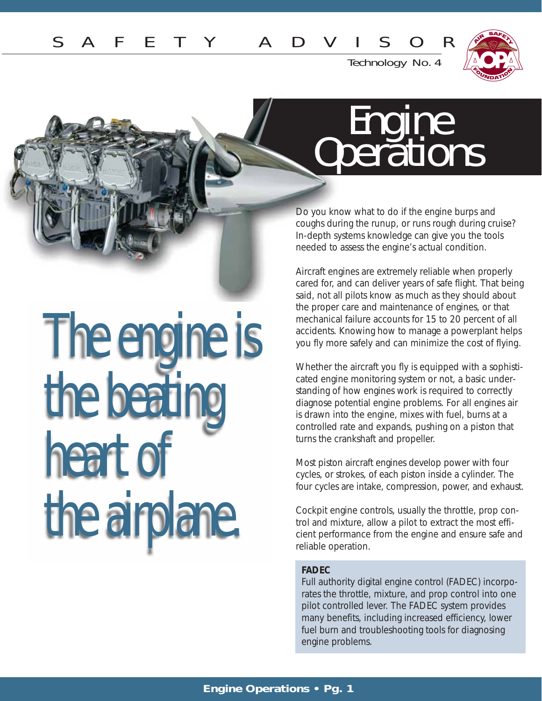

Technology No. 4

## **Engine Operations**

Do you know what to do if the engine burps and coughs during the runup, or runs rough during cruise? In-depth systems knowledge can give you the tools needed to assess the engine's actual condition.

Aircraft engines are extremely reliable when properly cared for, and can deliver years of safe flight. That being said, not all pilots know as much as they should about the proper care and maintenance of engines, or that mechanical failure accounts for 15 to 20 percent of all accidents. Knowing how to manage a powerplant helps you fly more safely and can minimize the cost of flying.

Whether the aircraft you fly is equipped with a sophisticated engine monitoring system or not, a basic understanding of how engines work is required to correctly diagnose potential engine problems. For all engines air is drawn into the engine, mixes with fuel, burns at a controlled rate and expands, pushing on a piston that turns the crankshaft and propeller.

Most piston aircraft engines develop power with four cycles, or strokes, of each piston inside a cylinder. The four cycles are intake, compression, power, and exhaust.

Cockpit engine controls, usually the throttle, prop control and mixture, allow a pilot to extract the most efficient performance from the engine and ensure safe and reliable operation.

## **FADEC**

Full authority digital engine control (FADEC) incorporates the throttle, mixture, and prop control into one pilot controlled lever. The FADEC system provides many benefits, including increased efficiency, lower fuel burn and troubleshooting tools for diagnosing engine problems.

# The engine is the beating heart of the airplane.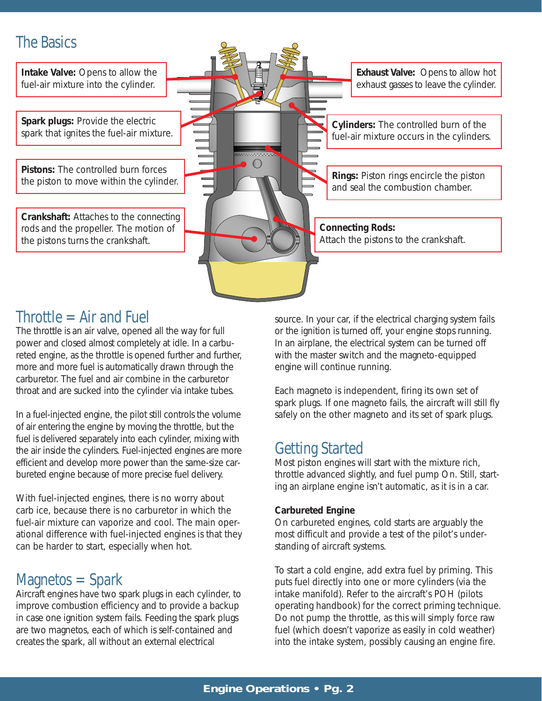## The Basics

**Intake Valve:** Opens to allow the fuel-air mixture into the cylinder.

**Spark plugs:** Provide the electric spark that ignites the fuel-air mixture.

**Pistons:** The controlled burn forces the piston to move within the cylinder.

**Crankshaft:** Attaches to the connecting rods and the propeller. The motion of the pistons turns the crankshaft.

**Connecting Rods: Cylinders:** The controlled burn of the fuel-air mixture occurs in the cylinders. **Rings:** Piston rings encircle the piston and seal the combustion chamber. **Exhaust Valve:** Opens to allow hot exhaust gasses to leave the cylinder.

## $$

The throttle is an air valve, opened all the way for full power and closed almost completely at idle. In a carbureted engine, as the throttle is opened further and further, more and more fuel is automatically drawn through the carburetor. The fuel and air combine in the carburetor throat and are sucked into the cylinder via intake tubes.

In a fuel-injected engine, the pilot still controls the volume of air entering the engine by moving the throttle, but the fuel is delivered separately into each cylinder, mixing with the air inside the cylinders. Fuel-injected engines are more efficient and develop more power than the same-size carbureted engine because of more precise fuel delivery.

With fuel-injected engines, there is no worry about carb ice, because there is no carburetor in which the fuel-air mixture can vaporize and cool. The main operational difference with fuel-injected engines is that they can be harder to start, especially when hot.

## Magnetos = Spark

Aircraft engines have two spark plugs in each cylinder, to improve combustion efficiency and to provide a backup in case one ignition system fails. Feeding the spark plugs are two magnetos, each of which is self-contained and creates the spark, all without an external electrical

source. In your car, if the electrical charging system fails or the ignition is turned off, your engine stops running. In an airplane, the electrical system can be turned off with the master switch and the magneto-equipped engine will continue running.

Attach the pistons to the crankshaft.

Each magneto is independent, firing its own set of spark plugs. If one magneto fails, the aircraft will still fly safely on the other magneto and its set of spark plugs.

## Getting Started

Most piston engines will start with the mixture rich, throttle advanced slightly, and fuel pump On. Still, starting an airplane engine isn't automatic, as it is in a car.

## **Carbureted Engine**

On carbureted engines, cold starts are arguably the most difficult and provide a test of the pilot's understanding of aircraft systems.

To start a cold engine, add extra fuel by priming. This puts fuel directly into one or more cylinders (via the intake manifold). Refer to the aircraft's POH (pilots operating handbook) for the correct priming technique. Do not pump the throttle, as this will simply force raw fuel (which doesn't vaporize as easily in cold weather) into the intake system, possibly causing an engine fire.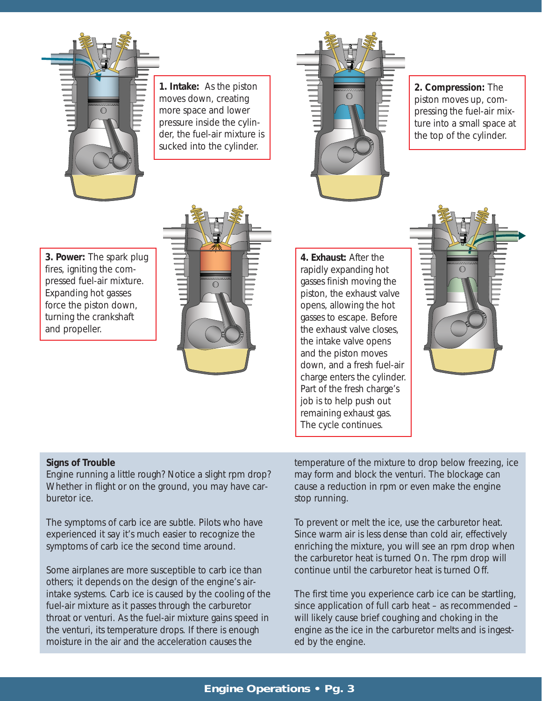

**1. Intake:** As the piston moves down, creating more space and lower pressure inside the cylinder, the fuel-air mixture is sucked into the cylinder.



**2. Compression:** The piston moves up, compressing the fuel-air mixture into a small space at the top of the cylinder.

**3. Power:** The spark plug fires, igniting the compressed fuel-air mixture. Expanding hot gasses force the piston down, turning the crankshaft and propeller.



**4. Exhaust:** After the rapidly expanding hot gasses finish moving the piston, the exhaust valve opens, allowing the hot gasses to escape. Before the exhaust valve closes, the intake valve opens and the piston moves down, and a fresh fuel-air charge enters the cylinder. Part of the fresh charge's job is to help push out remaining exhaust gas. The cycle continues.



## **Signs of Trouble**

Engine running a little rough? Notice a slight rpm drop? Whether in flight or on the ground, you may have carburetor ice.

The symptoms of carb ice are subtle. Pilots who have experienced it say it's much easier to recognize the symptoms of carb ice the second time around.

Some airplanes are more susceptible to carb ice than others; it depends on the design of the engine's airintake systems. Carb ice is caused by the cooling of the fuel-air mixture as it passes through the carburetor throat or venturi. As the fuel-air mixture gains speed in the venturi, its temperature drops. If there is enough moisture in the air and the acceleration causes the

temperature of the mixture to drop below freezing, ice may form and block the venturi. The blockage can cause a reduction in rpm or even make the engine stop running.

To prevent or melt the ice, use the carburetor heat. Since warm air is less dense than cold air, effectively enriching the mixture, you will see an rpm drop when the carburetor heat is turned On. The rpm drop will continue until the carburetor heat is turned Off.

The first time you experience carb ice can be startling, since application of full carb heat – as recommended – will likely cause brief coughing and choking in the engine as the ice in the carburetor melts and is ingested by the engine.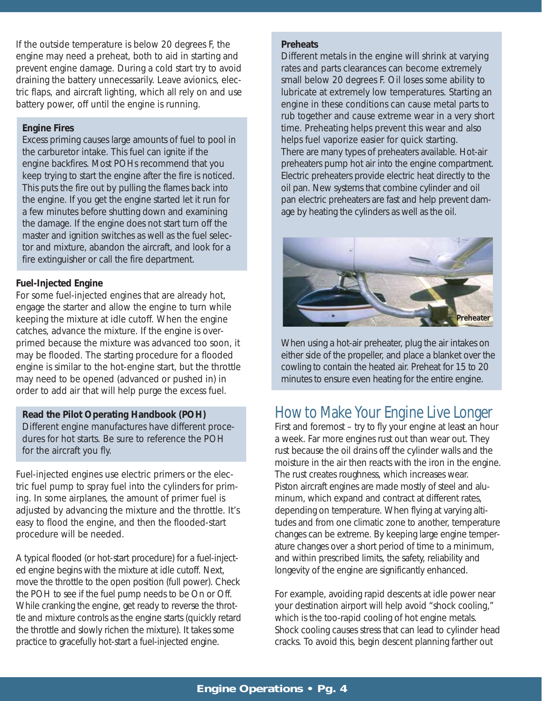If the outside temperature is below 20 degrees F, the engine may need a preheat, both to aid in starting and prevent engine damage. During a cold start try to avoid draining the battery unnecessarily. Leave avionics, electric flaps, and aircraft lighting, which all rely on and use battery power, off until the engine is running.

#### **Engine Fires**

Excess priming causes large amounts of fuel to pool in the carburetor intake. This fuel can ignite if the engine backfires. Most POHs recommend that you keep trying to start the engine after the fire is noticed. This puts the fire out by pulling the flames back into the engine. If you get the engine started let it run for a few minutes before shutting down and examining the damage. If the engine does not start turn off the master and ignition switches as well as the fuel selector and mixture, abandon the aircraft, and look for a fire extinguisher or call the fire department.

#### **Fuel-Injected Engine**

For some fuel-injected engines that are already hot, engage the starter and allow the engine to turn while keeping the mixture at idle cutoff. When the engine catches, advance the mixture. If the engine is overprimed because the mixture was advanced too soon, it may be flooded. The starting procedure for a flooded engine is similar to the hot-engine start, but the throttle may need to be opened (advanced or pushed in) in order to add air that will help purge the excess fuel.

#### **Read the Pilot Operating Handbook (POH)**

Different engine manufactures have different procedures for hot starts. Be sure to reference the POH for the aircraft you fly.

Fuel-injected engines use electric primers or the electric fuel pump to spray fuel into the cylinders for priming. In some airplanes, the amount of primer fuel is adjusted by advancing the mixture and the throttle. It's easy to flood the engine, and then the flooded-start procedure will be needed.

A typical flooded (or hot-start procedure) for a fuel-injected engine begins with the mixture at idle cutoff. Next, move the throttle to the open position (full power). Check the POH to see if the fuel pump needs to be On or Off. While cranking the engine, get ready to reverse the throttle and mixture controls as the engine starts (quickly retard the throttle and slowly richen the mixture). It takes some practice to gracefully hot-start a fuel-injected engine.

#### **Preheats**

Different metals in the engine will shrink at varying rates and parts clearances can become extremely small below 20 degrees F. Oil loses some ability to lubricate at extremely low temperatures. Starting an engine in these conditions can cause metal parts to rub together and cause extreme wear in a very short time. Preheating helps prevent this wear and also helps fuel vaporize easier for quick starting. There are many types of preheaters available. Hot-air preheaters pump hot air into the engine compartment. Electric preheaters provide electric heat directly to the oil pan. New systems that combine cylinder and oil pan electric preheaters are fast and help prevent damage by heating the cylinders as well as the oil.



When using a hot-air preheater, plug the air intakes on either side of the propeller, and place a blanket over the cowling to contain the heated air. Preheat for 15 to 20 minutes to ensure even heating for the entire engine.

## How to Make Your Engine Live Longer

First and foremost – try to fly your engine at least an hour a week. Far more engines rust out than wear out. They rust because the oil drains off the cylinder walls and the moisture in the air then reacts with the iron in the engine. The rust creates roughness, which increases wear. Piston aircraft engines are made mostly of steel and aluminum, which expand and contract at different rates, depending on temperature. When flying at varying altitudes and from one climatic zone to another, temperature changes can be extreme. By keeping large engine temperature changes over a short period of time to a minimum, and within prescribed limits, the safety, reliability and longevity of the engine are significantly enhanced.

For example, avoiding rapid descents at idle power near your destination airport will help avoid "shock cooling," which is the too-rapid cooling of hot engine metals. Shock cooling causes stress that can lead to cylinder head cracks. To avoid this, begin descent planning farther out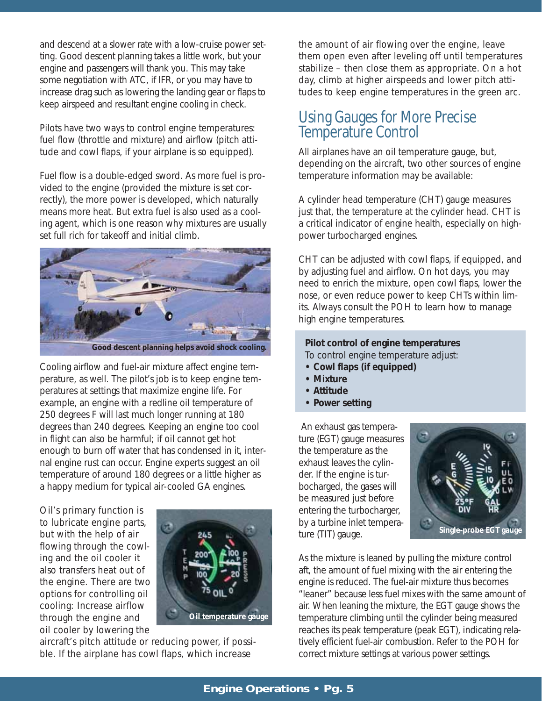and descend at a slower rate with a low-cruise power setting. Good descent planning takes a little work, but your engine and passengers will thank you. This may take some negotiation with ATC, if IFR, or you may have to increase drag such as lowering the landing gear or flaps to keep airspeed and resultant engine cooling in check.

Pilots have two ways to control engine temperatures: fuel flow (throttle and mixture) and airflow (pitch attitude and cowl flaps, if your airplane is so equipped).

Fuel flow is a double-edged sword. As more fuel is provided to the engine (provided the mixture is set correctly), the more power is developed, which naturally means more heat. But extra fuel is also used as a cooling agent, which is one reason why mixtures are usually set full rich for takeoff and initial climb.



*Good descent planning helps avoid shock cooling.*

Cooling airflow and fuel-air mixture affect engine temperature, as well. The pilot's job is to keep engine temperatures at settings that maximize engine life. For example, an engine with a redline oil temperature of 250 degrees F will last much longer running at 180 degrees than 240 degrees. Keeping an engine too cool in flight can also be harmful; if oil cannot get hot enough to burn off water that has condensed in it, internal engine rust can occur. Engine experts suggest an oil temperature of around 180 degrees or a little higher as a happy medium for typical air-cooled GA engines.

Oil's primary function is to lubricate engine parts, but with the help of air flowing through the cowling and the oil cooler it also transfers heat out of the engine. There are two options for controlling oil cooling: Increase airflow through the engine and oil cooler by lowering the



aircraft's pitch attitude or reducing power, if possible. If the airplane has cowl flaps, which increase

the amount of air flowing over the engine, leave them open even after leveling off until temperatures stabilize – then close them as appropriate. On a hot day, climb at higher airspeeds and lower pitch attitudes to keep engine temperatures in the green arc.

## Using Gauges for More Precise Temperature Control

All airplanes have an oil temperature gauge, but, depending on the aircraft, two other sources of engine temperature information may be available:

A cylinder head temperature (CHT) gauge measures just that, the temperature at the cylinder head. CHT is a critical indicator of engine health, especially on highpower turbocharged engines.

CHT can be adjusted with cowl flaps, if equipped, and by adjusting fuel and airflow. On hot days, you may need to enrich the mixture, open cowl flaps, lower the nose, or even reduce power to keep CHTs within limits. Always consult the POH to learn how to manage high engine temperatures.

**Pilot control of engine temperatures** To control engine temperature adjust:

- **Cowl flaps (if equipped)**
- **Mixture**
- **Attitude**
- **Power setting**

An exhaust gas temperature (EGT) gauge measures the temperature as the exhaust leaves the cylinder. If the engine is turbocharged, the gases will be measured just before entering the turbocharger, by a turbine inlet temperature (TIT) gauge.



As the mixture is leaned by pulling the mixture control aft, the amount of fuel mixing with the air entering the engine is reduced. The fuel-air mixture thus becomes "leaner" because less fuel mixes with the same amount of air. When leaning the mixture, the EGT gauge shows the temperature climbing until the cylinder being measured reaches its peak temperature (peak EGT), indicating relatively efficient fuel-air combustion. Refer to the POH for correct mixture settings at various power settings.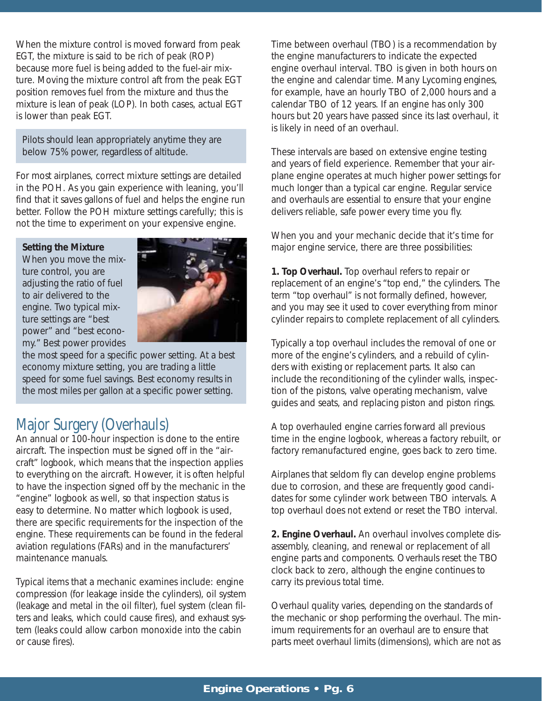When the mixture control is moved forward from peak EGT, the mixture is said to be rich of peak (ROP) because more fuel is being added to the fuel-air mixture. Moving the mixture control aft from the peak EGT position removes fuel from the mixture and thus the mixture is lean of peak (LOP). In both cases, actual EGT is lower than peak EGT.

Pilots should lean appropriately anytime they are below 75% power, regardless of altitude.

For most airplanes, correct mixture settings are detailed in the POH. As you gain experience with leaning, you'll find that it saves gallons of fuel and helps the engine run better. Follow the POH mixture settings carefully; this is not the time to experiment on your expensive engine.

#### **Setting the Mixture**

When you move the mixture control, you are adjusting the ratio of fuel to air delivered to the engine. Two typical mixture settings are "best power" and "best economy." Best power provides



the most speed for a specific power setting. At a best economy mixture setting, you are trading a little speed for some fuel savings. Best economy results in the most miles per gallon at a specific power setting.

## Major Surgery (Overhauls)

An annual or 100-hour inspection is done to the entire aircraft. The inspection must be signed off in the "aircraft" logbook, which means that the inspection applies to everything on the aircraft. However, it is often helpful to have the inspection signed off by the mechanic in the "engine" logbook as well, so that inspection status is easy to determine. No matter which logbook is used, there are specific requirements for the inspection of the engine. These requirements can be found in the federal aviation regulations (FARs) and in the manufacturers' maintenance manuals.

Typical items that a mechanic examines include: engine compression (for leakage inside the cylinders), oil system (leakage and metal in the oil filter), fuel system (clean filters and leaks, which could cause fires), and exhaust system (leaks could allow carbon monoxide into the cabin or cause fires).

Time between overhaul (TBO) is a recommendation by the engine manufacturers to indicate the expected engine overhaul interval. TBO is given in both hours on the engine and calendar time. Many Lycoming engines, for example, have an hourly TBO of 2,000 hours and a calendar TBO of 12 years. If an engine has only 300 hours but 20 years have passed since its last overhaul, it is likely in need of an overhaul.

These intervals are based on extensive engine testing and years of field experience. Remember that your airplane engine operates at much higher power settings for much longer than a typical car engine. Regular service and overhauls are essential to ensure that your engine delivers reliable, safe power every time you fly.

When you and your mechanic decide that it's time for major engine service, there are three possibilities:

**1. Top Overhaul.** Top overhaul refers to repair or replacement of an engine's "top end," the cylinders. The term "top overhaul" is not formally defined, however, and you may see it used to cover everything from minor cylinder repairs to complete replacement of all cylinders.

Typically a top overhaul includes the removal of one or more of the engine's cylinders, and a rebuild of cylinders with existing or replacement parts. It also can include the reconditioning of the cylinder walls, inspection of the pistons, valve operating mechanism, valve guides and seats, and replacing piston and piston rings.

A top overhauled engine carries forward all previous time in the engine logbook, whereas a factory rebuilt, or factory remanufactured engine, goes back to zero time.

Airplanes that seldom fly can develop engine problems due to corrosion, and these are frequently good candidates for some cylinder work between TBO intervals. A top overhaul does not extend or reset the TBO interval.

**2. Engine Overhaul.** An overhaul involves complete disassembly, cleaning, and renewal or replacement of all engine parts and components. Overhauls reset the TBO clock back to zero, although the engine continues to carry its previous total time.

Overhaul quality varies, depending on the standards of the mechanic or shop performing the overhaul. The minimum requirements for an overhaul are to ensure that parts meet overhaul limits (dimensions), which are not as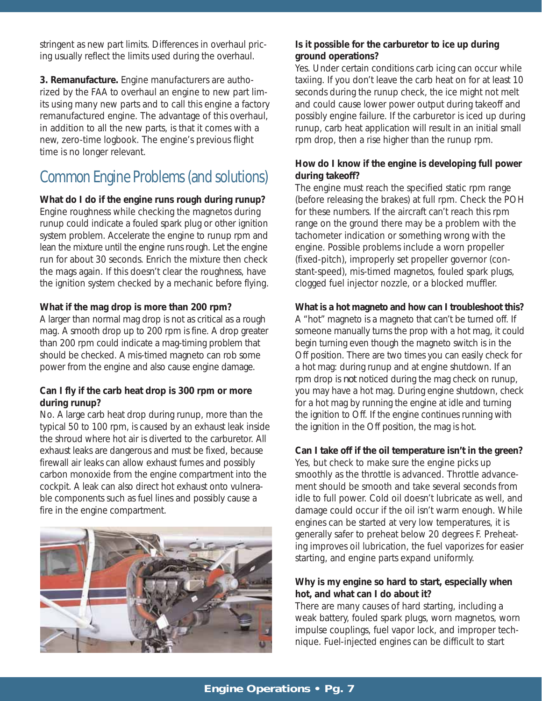stringent as new part limits. Differences in overhaul pricing usually reflect the limits used during the overhaul.

**3. Remanufacture.** Engine manufacturers are authorized by the FAA to overhaul an engine to new part limits using many new parts and to call this engine a factory remanufactured engine. The advantage of this overhaul, in addition to all the new parts, is that it comes with a new, zero-time logbook. The engine's previous flight time is no longer relevant.

## Common Engine Problems (and solutions)

**What do I do if the engine runs rough during runup?** 

Engine roughness while checking the magnetos during runup could indicate a fouled spark plug or other ignition system problem. Accelerate the engine to runup rpm and lean the mixture until the engine runs rough. Let the engine run for about 30 seconds. Enrich the mixture then check the mags again. If this doesn't clear the roughness, have the ignition system checked by a mechanic before flying.

## **What if the mag drop is more than 200 rpm?**

A larger than normal mag drop is not as critical as a rough mag. A smooth drop up to 200 rpm is fine. A drop greater than 200 rpm could indicate a mag-timing problem that should be checked. A mis-timed magneto can rob some power from the engine and also cause engine damage.

## **Can I fly if the carb heat drop is 300 rpm or more during runup?**

No. A large carb heat drop during runup, more than the typical 50 to 100 rpm, is caused by an exhaust leak inside the shroud where hot air is diverted to the carburetor. All exhaust leaks are dangerous and must be fixed, because firewall air leaks can allow exhaust fumes and possibly carbon monoxide from the engine compartment into the cockpit. A leak can also direct hot exhaust onto vulnerable components such as fuel lines and possibly cause a fire in the engine compartment.



## **Is it possible for the carburetor to ice up during ground operations?**

Yes. Under certain conditions carb icing can occur while taxiing. If you don't leave the carb heat on for at least 10 seconds during the runup check, the ice might not melt and could cause lower power output during takeoff and possibly engine failure. If the carburetor is iced up during runup, carb heat application will result in an initial small rpm drop, then a rise higher than the runup rpm.

## **How do I know if the engine is developing full power during takeoff?**

The engine must reach the specified static rpm range (before releasing the brakes) at full rpm. Check the POH for these numbers. If the aircraft can't reach this rpm range on the ground there may be a problem with the tachometer indication or something wrong with the engine. Possible problems include a worn propeller (fixed-pitch), improperly set propeller governor (constant-speed), mis-timed magnetos, fouled spark plugs, clogged fuel injector nozzle, or a blocked muffler.

## **What is a hot magneto and how can I troubleshoot this?**

A "hot" magneto is a magneto that can't be turned off. If someone manually turns the prop with a hot mag, it could begin turning even though the magneto switch is in the Off position. There are two times you can easily check for a hot mag: during runup and at engine shutdown. If an rpm drop is *not* noticed during the mag check on runup, you may have a hot mag. During engine shutdown, check for a hot mag by running the engine at idle and turning the ignition to Off. If the engine continues running with the ignition in the Off position, the mag is hot.

## **Can I take off if the oil temperature isn't in the green?**

Yes, but check to make sure the engine picks up smoothly as the throttle is advanced. Throttle advancement should be smooth and take several seconds from idle to full power. Cold oil doesn't lubricate as well, and damage could occur if the oil isn't warm enough. While engines can be started at very low temperatures, it is generally safer to preheat below 20 degrees F. Preheating improves oil lubrication, the fuel vaporizes for easier starting, and engine parts expand uniformly.

## **Why is my engine so hard to start, especially when hot, and what can I do about it?**

There are many causes of hard starting, including a weak battery, fouled spark plugs, worn magnetos, worn impulse couplings, fuel vapor lock, and improper technique. Fuel-injected engines can be difficult to start